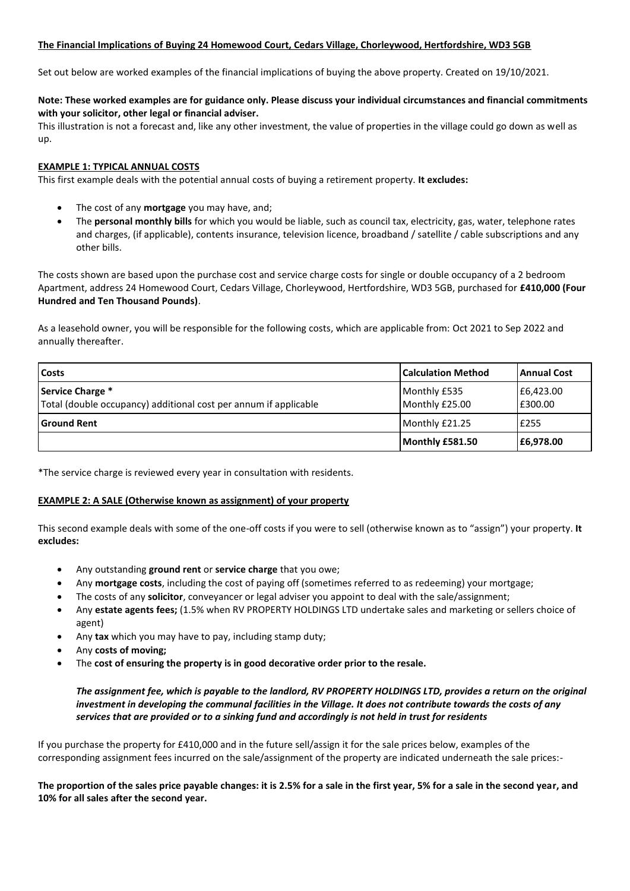## **The Financial Implications of Buying 24 Homewood Court, Cedars Village, Chorleywood, Hertfordshire, WD3 5GB**

Set out below are worked examples of the financial implications of buying the above property. Created on 19/10/2021.

## **Note: These worked examples are for guidance only. Please discuss your individual circumstances and financial commitments with your solicitor, other legal or financial adviser.**

This illustration is not a forecast and, like any other investment, the value of properties in the village could go down as well as up.

## **EXAMPLE 1: TYPICAL ANNUAL COSTS**

This first example deals with the potential annual costs of buying a retirement property. **It excludes:**

- The cost of any **mortgage** you may have, and;
- The **personal monthly bills** for which you would be liable, such as council tax, electricity, gas, water, telephone rates and charges, (if applicable), contents insurance, television licence, broadband / satellite / cable subscriptions and any other bills.

The costs shown are based upon the purchase cost and service charge costs for single or double occupancy of a 2 bedroom Apartment, address 24 Homewood Court, Cedars Village, Chorleywood, Hertfordshire, WD3 5GB, purchased for **£410,000 (Four Hundred and Ten Thousand Pounds)**.

As a leasehold owner, you will be responsible for the following costs, which are applicable from: Oct 2021 to Sep 2022 and annually thereafter.

| <b>Costs</b>                                                                         | <b>Calculation Method</b>      | Annual Cost          |
|--------------------------------------------------------------------------------------|--------------------------------|----------------------|
| Service Charge *<br>Total (double occupancy) additional cost per annum if applicable | Monthly £535<br>Monthly £25.00 | £6,423.00<br>E300.00 |
| <b>Ground Rent</b>                                                                   | Monthly £21.25                 | E255                 |
|                                                                                      | Monthly £581.50                | £6,978.00 l          |

\*The service charge is reviewed every year in consultation with residents.

## **EXAMPLE 2: A SALE (Otherwise known as assignment) of your property**

This second example deals with some of the one-off costs if you were to sell (otherwise known as to "assign") your property. **It excludes:**

- Any outstanding **ground rent** or **service charge** that you owe;
- Any **mortgage costs**, including the cost of paying off (sometimes referred to as redeeming) your mortgage;
- The costs of any **solicitor**, conveyancer or legal adviser you appoint to deal with the sale/assignment;
- Any **estate agents fees;** (1.5% when RV PROPERTY HOLDINGS LTD undertake sales and marketing or sellers choice of agent)
- Any **tax** which you may have to pay, including stamp duty;
- Any **costs of moving;**
- The **cost of ensuring the property is in good decorative order prior to the resale.**

*The assignment fee, which is payable to the landlord, RV PROPERTY HOLDINGS LTD, provides a return on the original investment in developing the communal facilities in the Village. It does not contribute towards the costs of any services that are provided or to a sinking fund and accordingly is not held in trust for residents*

If you purchase the property for £410,000 and in the future sell/assign it for the sale prices below, examples of the corresponding assignment fees incurred on the sale/assignment of the property are indicated underneath the sale prices:-

**The proportion of the sales price payable changes: it is 2.5% for a sale in the first year, 5% for a sale in the second year, and 10% for all sales after the second year.**